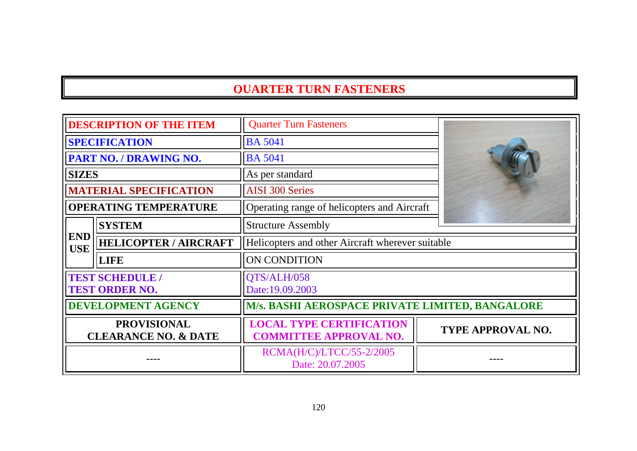| <b>DESCRIPTION OF THE ITEM</b>                        |                                                 | <b>Quarter Turn Fasteners</b>                                    |                          |
|-------------------------------------------------------|-------------------------------------------------|------------------------------------------------------------------|--------------------------|
|                                                       | <b>SPECIFICATION</b>                            | <b>BA 5041</b>                                                   |                          |
|                                                       | <b>PART NO. / DRAWING NO.</b>                   | <b>BA 5041</b>                                                   |                          |
| <b>SIZES</b>                                          |                                                 | As per standard                                                  |                          |
|                                                       | <b>MATERIAL SPECIFICATION</b>                   | <b>AISI 300 Series</b>                                           |                          |
|                                                       | <b>OPERATING TEMPERATURE</b>                    | Operating range of helicopters and Aircraft                      |                          |
|                                                       | <b>SYSTEM</b>                                   | <b>Structure Assembly</b>                                        |                          |
| <b>END</b><br><b>USE</b>                              | <b>HELICOPTER / AIRCRAFT</b>                    | Helicopters and other Aircraft wherever suitable                 |                          |
|                                                       | <b>LIFE</b>                                     | ON CONDITION                                                     |                          |
|                                                       | <b>TEST SCHEDULE /</b><br><b>TEST ORDER NO.</b> | QTS/ALH/058<br>Date:19.09.2003                                   |                          |
|                                                       | <b>DEVELOPMENT AGENCY</b>                       | M/s. BASHI AEROSPACE PRIVATE LIMITED, BANGALORE                  |                          |
| <b>PROVISIONAL</b><br><b>CLEARANCE NO. &amp; DATE</b> |                                                 | <b>LOCAL TYPE CERTIFICATION</b><br><b>COMMITTEE APPROVAL NO.</b> | <b>TYPE APPROVAL NO.</b> |
|                                                       |                                                 | RCMA(H/C)/LTCC/55-2/2005<br>Date: 20.07.2005                     |                          |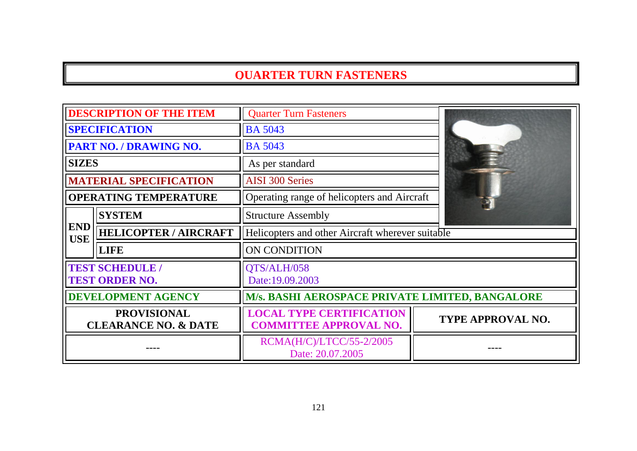| <b>DESCRIPTION OF THE ITEM</b>                        |                               | <b>Quarter Turn Fasteners</b>                                    |                          |
|-------------------------------------------------------|-------------------------------|------------------------------------------------------------------|--------------------------|
| <b>SPECIFICATION</b>                                  |                               | <b>BA 5043</b>                                                   |                          |
|                                                       | PART NO. / DRAWING NO.        | <b>BA 5043</b>                                                   |                          |
| <b>SIZES</b>                                          |                               | As per standard                                                  |                          |
|                                                       | <b>MATERIAL SPECIFICATION</b> | <b>AISI 300 Series</b>                                           |                          |
|                                                       | <b>OPERATING TEMPERATURE</b>  | Operating range of helicopters and Aircraft                      |                          |
|                                                       | <b>SYSTEM</b>                 | <b>Structure Assembly</b>                                        |                          |
| <b>END</b><br><b>USE</b>                              | <b>HELICOPTER / AIRCRAFT</b>  | Helicopters and other Aircraft wherever suitable                 |                          |
|                                                       | <b>LIFE</b>                   | ON CONDITION                                                     |                          |
| <b>TEST SCHEDULE /</b><br><b>TEST ORDER NO.</b>       |                               | QTS/ALH/058<br>Date:19.09.2003                                   |                          |
|                                                       | <b>DEVELOPMENT AGENCY</b>     | M/s. BASHI AEROSPACE PRIVATE LIMITED, BANGALORE                  |                          |
| <b>PROVISIONAL</b><br><b>CLEARANCE NO. &amp; DATE</b> |                               | <b>LOCAL TYPE CERTIFICATION</b><br><b>COMMITTEE APPROVAL NO.</b> | <b>TYPE APPROVAL NO.</b> |
|                                                       |                               | RCMA(H/C)/LTCC/55-2/2005<br>Date: 20.07.2005                     |                          |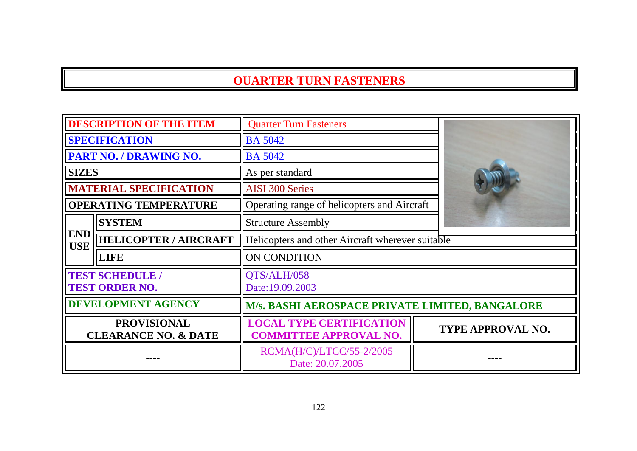| <b>DESCRIPTION OF THE ITEM</b>                        |                                                 | <b>Quarter Turn Fasteners</b>                                    |                   |
|-------------------------------------------------------|-------------------------------------------------|------------------------------------------------------------------|-------------------|
| <b>SPECIFICATION</b>                                  |                                                 | <b>BA 5042</b>                                                   |                   |
|                                                       | <b>PART NO. / DRAWING NO.</b>                   | <b>BA 5042</b>                                                   |                   |
| <b>SIZES</b>                                          |                                                 | As per standard                                                  |                   |
|                                                       | <b>MATERIAL SPECIFICATION</b>                   | <b>AISI 300 Series</b>                                           |                   |
|                                                       | <b>OPERATING TEMPERATURE</b>                    | Operating range of helicopters and Aircraft                      |                   |
|                                                       | <b>SYSTEM</b>                                   | <b>Structure Assembly</b>                                        |                   |
| <b>END</b><br><b>USE</b>                              | <b>HELICOPTER / AIRCRAFT</b>                    | Helicopters and other Aircraft wherever suitable                 |                   |
|                                                       | <b>LIFE</b>                                     | <b>ON CONDITION</b>                                              |                   |
|                                                       | <b>TEST SCHEDULE /</b><br><b>TEST ORDER NO.</b> | QTS/ALH/058<br>Date:19.09.2003                                   |                   |
| <b>DEVELOPMENT AGENCY</b>                             |                                                 | M/s. BASHI AEROSPACE PRIVATE LIMITED, BANGALORE                  |                   |
| <b>PROVISIONAL</b><br><b>CLEARANCE NO. &amp; DATE</b> |                                                 | <b>LOCAL TYPE CERTIFICATION</b><br><b>COMMITTEE APPROVAL NO.</b> | TYPE APPROVAL NO. |
|                                                       |                                                 | RCMA(H/C)/LTCC/55-2/2005<br>Date: 20.07.2005                     |                   |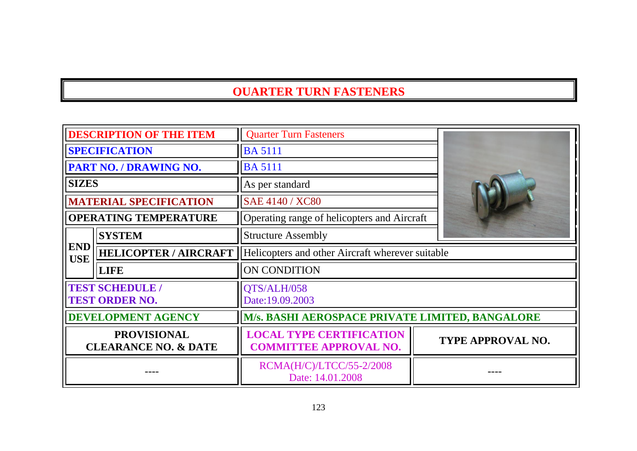| <b>DESCRIPTION OF THE ITEM</b>                        |                                                 | <b>Quarter Turn Fasteners</b>                                    |                   |
|-------------------------------------------------------|-------------------------------------------------|------------------------------------------------------------------|-------------------|
| <b>SPECIFICATION</b>                                  |                                                 | <b>BA 5111</b>                                                   |                   |
|                                                       | <b>PART NO. / DRAWING NO.</b>                   | <b>BA 5111</b>                                                   |                   |
| <b>SIZES</b>                                          |                                                 | As per standard                                                  |                   |
|                                                       | <b>MATERIAL SPECIFICATION</b>                   | SAE 4140 / XC80                                                  |                   |
|                                                       | <b>OPERATING TEMPERATURE</b>                    | Operating range of helicopters and Aircraft                      |                   |
|                                                       | <b>SYSTEM</b>                                   | <b>Structure Assembly</b>                                        |                   |
| <b>END</b><br><b>USE</b>                              | <b>HELICOPTER / AIRCRAFT</b>                    | Helicopters and other Aircraft wherever suitable                 |                   |
|                                                       | <b>LIFE</b>                                     | ON CONDITION                                                     |                   |
|                                                       | <b>TEST SCHEDULE /</b><br><b>TEST ORDER NO.</b> | QTS/ALH/058<br>Date:19.09.2003                                   |                   |
| <b>DEVELOPMENT AGENCY</b>                             |                                                 | M/s. BASHI AEROSPACE PRIVATE LIMITED, BANGALORE                  |                   |
| <b>PROVISIONAL</b><br><b>CLEARANCE NO. &amp; DATE</b> |                                                 | <b>LOCAL TYPE CERTIFICATION</b><br><b>COMMITTEE APPROVAL NO.</b> | TYPE APPROVAL NO. |
|                                                       |                                                 | RCMA(H/C)/LTCC/55-2/2008<br>Date: 14.01.2008                     |                   |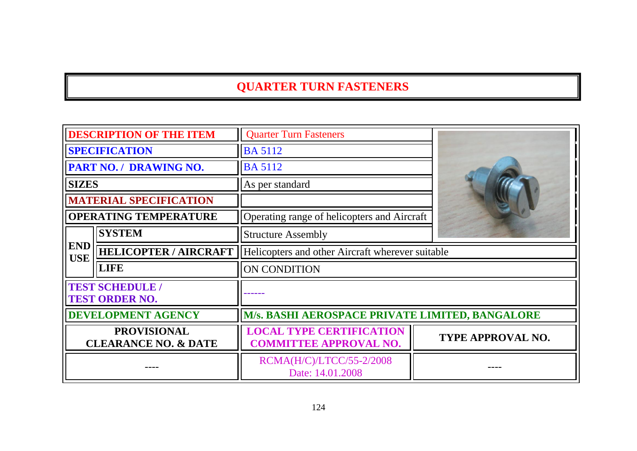| <b>DESCRIPTION OF THE ITEM</b>                        |                                               | <b>Quarter Turn Fasteners</b>                                    |                          |
|-------------------------------------------------------|-----------------------------------------------|------------------------------------------------------------------|--------------------------|
| <b>SPECIFICATION</b>                                  |                                               | <b>BA 5112</b>                                                   |                          |
|                                                       | <b>PART NO. / DRAWING NO.</b>                 | <b>BA 5112</b>                                                   |                          |
| <b>SIZES</b>                                          |                                               | As per standard                                                  |                          |
|                                                       | <b>MATERIAL SPECIFICATION</b>                 |                                                                  |                          |
|                                                       | <b>OPERATING TEMPERATURE</b>                  | Operating range of helicopters and Aircraft                      |                          |
|                                                       | <b>SYSTEM</b>                                 | <b>Structure Assembly</b>                                        |                          |
| <b>END</b><br><b>USE</b>                              | <b>HELICOPTER / AIRCRAFT</b>                  | Helicopters and other Aircraft wherever suitable                 |                          |
|                                                       | <b>LIFE</b>                                   | ON CONDITION                                                     |                          |
|                                                       | <b>TEST SCHEDULE</b><br><b>TEST ORDER NO.</b> |                                                                  |                          |
|                                                       | <b>DEVELOPMENT AGENCY</b>                     | <b>M/s. BASHI AEROSPACE PRIVATE LIMITED, BANGALORE</b>           |                          |
| <b>PROVISIONAL</b><br><b>CLEARANCE NO. &amp; DATE</b> |                                               | <b>LOCAL TYPE CERTIFICATION</b><br><b>COMMITTEE APPROVAL NO.</b> | <b>TYPE APPROVAL NO.</b> |
|                                                       |                                               | RCMA(H/C)/LTCC/55-2/2008<br>Date: 14.01.2008                     |                          |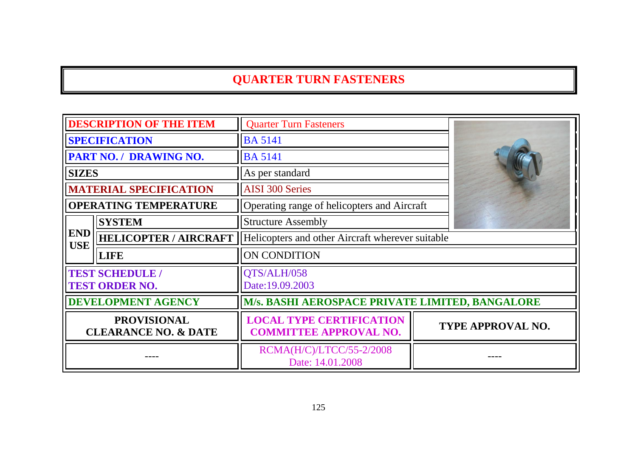| <b>DESCRIPTION OF THE ITEM</b>                        |                                                 | <b>Quarter Turn Fasteners</b>                                    |                          |
|-------------------------------------------------------|-------------------------------------------------|------------------------------------------------------------------|--------------------------|
| <b>SPECIFICATION</b>                                  |                                                 | <b>BA 5141</b>                                                   |                          |
|                                                       | PART NO. / DRAWING NO.                          | <b>BA 5141</b>                                                   |                          |
| <b>SIZES</b>                                          |                                                 | As per standard                                                  |                          |
|                                                       | <b>MATERIAL SPECIFICATION</b>                   | <b>AISI 300 Series</b>                                           |                          |
|                                                       | <b>OPERATING TEMPERATURE</b>                    | Operating range of helicopters and Aircraft                      |                          |
|                                                       | <b>SYSTEM</b>                                   | <b>Structure Assembly</b>                                        |                          |
| <b>END</b><br><b>USE</b>                              | <b>HELICOPTER / AIRCRAFT</b>                    | Helicopters and other Aircraft wherever suitable                 |                          |
|                                                       | <b>LIFE</b>                                     | ON CONDITION                                                     |                          |
|                                                       | <b>TEST SCHEDULE /</b><br><b>TEST ORDER NO.</b> | QTS/ALH/058<br>Date:19.09.2003                                   |                          |
|                                                       | <b>DEVELOPMENT AGENCY</b>                       | <b>M/s. BASHI AEROSPACE PRIVATE LIMITED, BANGALORE</b>           |                          |
| <b>PROVISIONAL</b><br><b>CLEARANCE NO. &amp; DATE</b> |                                                 | <b>LOCAL TYPE CERTIFICATION</b><br><b>COMMITTEE APPROVAL NO.</b> | <b>TYPE APPROVAL NO.</b> |
|                                                       |                                                 | RCMA(H/C)/LTCC/55-2/2008<br>Date: 14.01.2008                     |                          |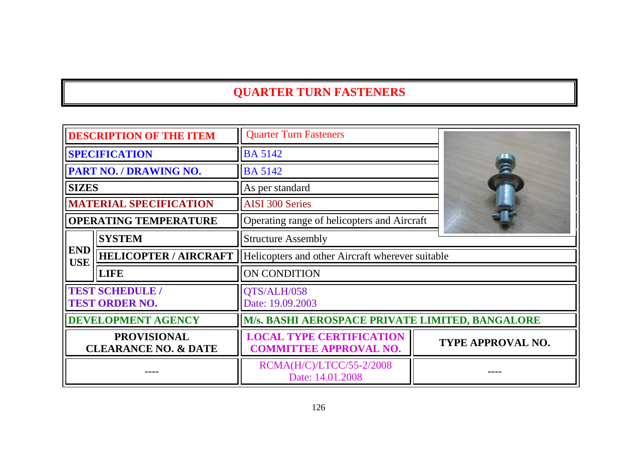| <b>DESCRIPTION OF THE ITEM</b>                        |                                                 | <b>Quarter Turn Fasteners</b>                                    |                          |
|-------------------------------------------------------|-------------------------------------------------|------------------------------------------------------------------|--------------------------|
| <b>SPECIFICATION</b>                                  |                                                 | <b>BA 5142</b>                                                   |                          |
|                                                       | <b>PART NO. / DRAWING NO.</b>                   | <b>BA 5142</b>                                                   | 言                        |
| <b>SIZES</b>                                          |                                                 | As per standard                                                  |                          |
|                                                       | <b>MATERIAL SPECIFICATION</b>                   | <b>AISI 300 Series</b>                                           |                          |
|                                                       | <b>OPERATING TEMPERATURE</b>                    | Operating range of helicopters and Aircraft                      |                          |
|                                                       | <b>SYSTEM</b>                                   | <b>Structure Assembly</b>                                        |                          |
| <b>END</b><br><b>USE</b>                              | <b>HELICOPTER / AIRCRAFT</b>                    | Helicopters and other Aircraft wherever suitable                 |                          |
|                                                       | <b>LIFE</b>                                     | ON CONDITION                                                     |                          |
|                                                       | <b>TEST SCHEDULE /</b><br><b>TEST ORDER NO.</b> | QTS/ALH/058<br>Date: 19.09.2003                                  |                          |
| <b>DEVELOPMENT AGENCY</b>                             |                                                 | M/s. BASHI AEROSPACE PRIVATE LIMITED, BANGALORE                  |                          |
| <b>PROVISIONAL</b><br><b>CLEARANCE NO. &amp; DATE</b> |                                                 | <b>LOCAL TYPE CERTIFICATION</b><br><b>COMMITTEE APPROVAL NO.</b> | <b>TYPE APPROVAL NO.</b> |
|                                                       |                                                 | RCMA(H/C)/LTCC/55-2/2008<br>Date: 14.01.2008                     |                          |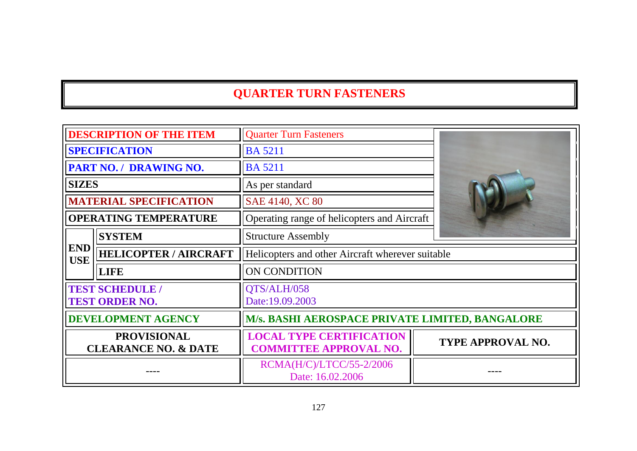| <b>DESCRIPTION OF THE ITEM</b>                        |                                                 | <b>Quarter Turn Fasteners</b>                                    |                          |
|-------------------------------------------------------|-------------------------------------------------|------------------------------------------------------------------|--------------------------|
| <b>SPECIFICATION</b>                                  |                                                 | <b>BA 5211</b>                                                   |                          |
|                                                       | <b>PART NO. / DRAWING NO.</b>                   | <b>BA 5211</b>                                                   |                          |
| <b>SIZES</b>                                          |                                                 | As per standard                                                  |                          |
|                                                       | <b>MATERIAL SPECIFICATION</b>                   | SAE 4140, XC 80                                                  |                          |
|                                                       | <b>OPERATING TEMPERATURE</b>                    | Operating range of helicopters and Aircraft                      |                          |
|                                                       | <b>SYSTEM</b>                                   | <b>Structure Assembly</b>                                        |                          |
| <b>END</b><br><b>USE</b>                              | <b>HELICOPTER / AIRCRAFT</b>                    | Helicopters and other Aircraft wherever suitable                 |                          |
|                                                       | <b>LIFE</b>                                     | <b>ON CONDITION</b>                                              |                          |
|                                                       | <b>TEST SCHEDULE /</b><br><b>TEST ORDER NO.</b> | QTS/ALH/058<br>Date:19.09.2003                                   |                          |
| <b>DEVELOPMENT AGENCY</b>                             |                                                 | M/s. BASHI AEROSPACE PRIVATE LIMITED, BANGALORE                  |                          |
| <b>PROVISIONAL</b><br><b>CLEARANCE NO. &amp; DATE</b> |                                                 | <b>LOCAL TYPE CERTIFICATION</b><br><b>COMMITTEE APPROVAL NO.</b> | <b>TYPE APPROVAL NO.</b> |
|                                                       |                                                 | RCMA(H/C)/LTCC/55-2/2006<br>Date: 16.02.2006                     |                          |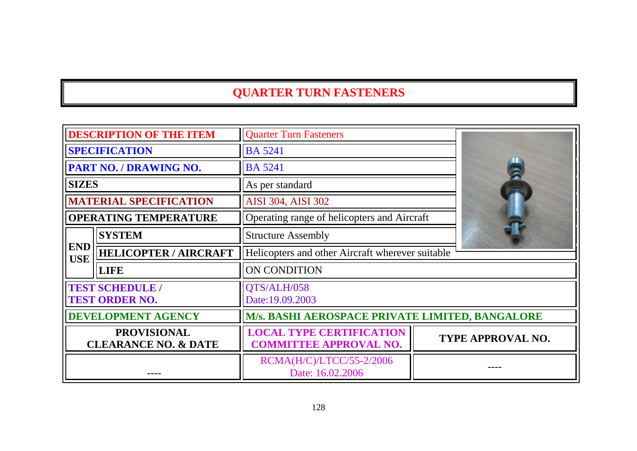| <b>DESCRIPTION OF THE ITEM</b>                        |                                                 | <b>Quarter Turn Fasteners</b>                                    |                   |
|-------------------------------------------------------|-------------------------------------------------|------------------------------------------------------------------|-------------------|
| <b>SPECIFICATION</b>                                  |                                                 | <b>BA 5241</b>                                                   |                   |
|                                                       | PART NO. / DRAWING NO.                          | <b>BA 5241</b>                                                   |                   |
| <b>SIZES</b>                                          |                                                 | As per standard                                                  |                   |
|                                                       | <b>MATERIAL SPECIFICATION</b>                   | <b>AISI 304, AISI 302</b>                                        |                   |
|                                                       | <b>OPERATING TEMPERATURE</b>                    | Operating range of helicopters and Aircraft                      |                   |
|                                                       | <b>SYSTEM</b>                                   | <b>Structure Assembly</b>                                        |                   |
| <b>END</b><br><b>USE</b>                              | <b>HELICOPTER / AIRCRAFT</b>                    | Helicopters and other Aircraft wherever suitable                 |                   |
|                                                       | <b>LIFE</b>                                     | <b>ON CONDITION</b>                                              |                   |
|                                                       | <b>TEST SCHEDULE /</b><br><b>TEST ORDER NO.</b> | QTS/ALH/058<br>Date:19.09.2003                                   |                   |
|                                                       | <b>DEVELOPMENT AGENCY</b>                       | M/s. BASHI AEROSPACE PRIVATE LIMITED, BANGALORE                  |                   |
| <b>PROVISIONAL</b><br><b>CLEARANCE NO. &amp; DATE</b> |                                                 | <b>LOCAL TYPE CERTIFICATION</b><br><b>COMMITTEE APPROVAL NO.</b> | TYPE APPROVAL NO. |
|                                                       |                                                 | RCMA(H/C)/LTCC/55-2/2006<br>Date: 16.02.2006                     |                   |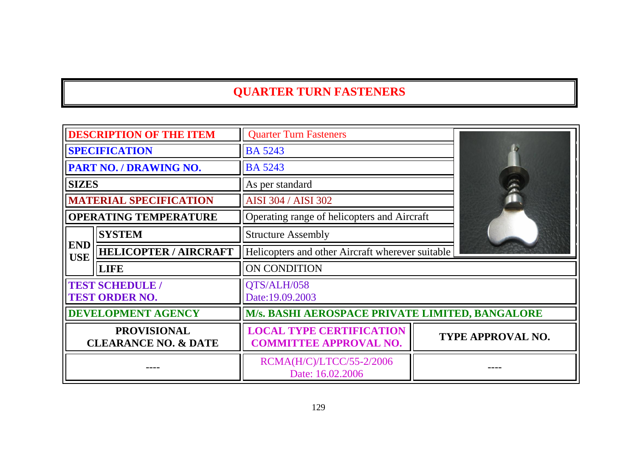| <b>DESCRIPTION OF THE ITEM</b>                        |                                                 | <b>Quarter Turn Fasteners</b>                                    |                   |
|-------------------------------------------------------|-------------------------------------------------|------------------------------------------------------------------|-------------------|
| <b>SPECIFICATION</b>                                  |                                                 | <b>BA 5243</b>                                                   |                   |
|                                                       | PART NO. / DRAWING NO.                          | <b>BA 5243</b>                                                   |                   |
| <b>SIZES</b>                                          |                                                 | As per standard                                                  |                   |
|                                                       | <b>MATERIAL SPECIFICATION</b>                   | AISI 304 / AISI 302                                              |                   |
|                                                       | <b>OPERATING TEMPERATURE</b>                    | Operating range of helicopters and Aircraft                      |                   |
|                                                       | <b>SYSTEM</b>                                   | <b>Structure Assembly</b>                                        |                   |
| <b>END</b><br><b>USE</b>                              | <b>HELICOPTER / AIRCRAFT</b>                    | Helicopters and other Aircraft wherever suitable                 |                   |
|                                                       | <b>LIFE</b>                                     | ON CONDITION                                                     |                   |
|                                                       | <b>TEST SCHEDULE /</b><br><b>TEST ORDER NO.</b> | QTS/ALH/058<br>Date:19.09.2003                                   |                   |
|                                                       | DEVELOPMENT AGENCY                              | <b>M/s. BASHI AEROSPACE PRIVATE LIMITED, BANGALORE</b>           |                   |
| <b>PROVISIONAL</b><br><b>CLEARANCE NO. &amp; DATE</b> |                                                 | <b>LOCAL TYPE CERTIFICATION</b><br><b>COMMITTEE APPROVAL NO.</b> | TYPE APPROVAL NO. |
|                                                       |                                                 | RCMA(H/C)/LTCC/55-2/2006<br>Date: 16.02.2006                     |                   |